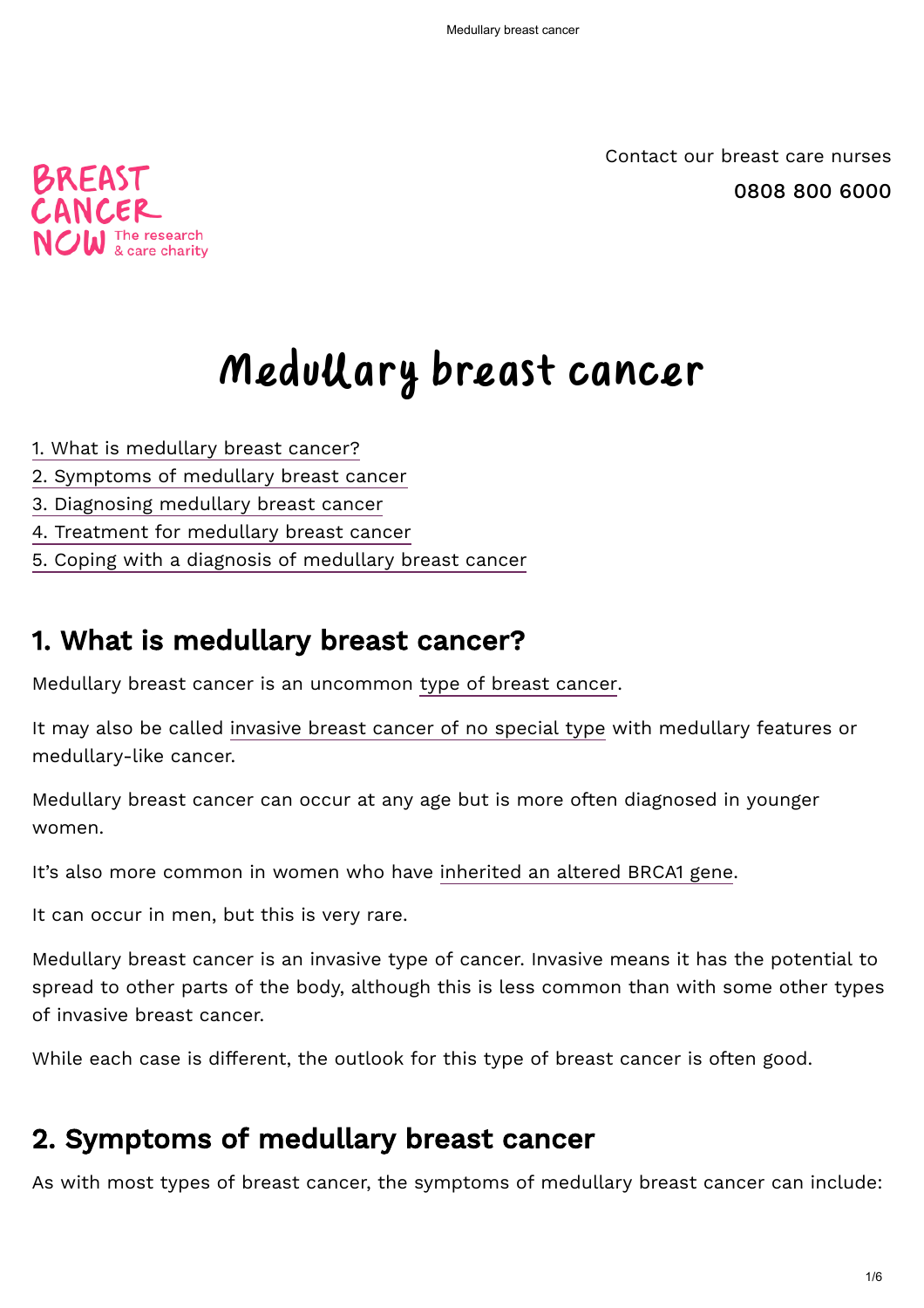[0808 800 6000](tel:0808 800 6000) [Contact our breast care nurses](https://breastcancernow.org/information-support/support-you/contact-our-nurses)



# Medullary breast cancer

- [1. What is medullary breast cancer?](#page-0-0)
- [2. Symptoms of medullary breast cancer](#page-0-1)
- 3. Diagnosing medullary breast cancer
- 4. Treatment for medullary breast cancer
- [5. Coping with a diagnosis of medullary breast cancer](#page-4-0)

## <span id="page-0-0"></span>1. What is medullary breast cancer?

Medullary breast cancer is an uncommon [type of breast cancer](https://breastcancernow.org/information-support/facing-breast-cancer/diagnosed-breast-cancer/primary-breast-cancer).

It may also be called [invasive breast cancer of no special type](https://breastcancernow.org/information-support/facing-breast-cancer/diagnosed-breast-cancer/primary-breast-cancer/invasive-breast-cancer-no-special-type) with medullary features or medullary-like cancer.

Medullary breast cancer can occur at any age but is more often diagnosed in younger women.

It's also more common in women who have [inherited an altered BRCA1 gene](https://breastcancernow.org/information-support/have-i-got-breast-cancer/am-i-risk/breast-cancer-in-families).

It can occur in men, but this is very rare.

Medullary breast cancer is an invasive type of cancer. Invasive means it has the potential to spread to other parts of the body, although this is less common than with some other types of invasive breast cancer.

While each case is different, the outlook for this type of breast cancer is often good.

# <span id="page-0-1"></span>2. Symptoms of medullary breast cancer

As with most types of breast cancer, the symptoms of medullary breast cancer can include: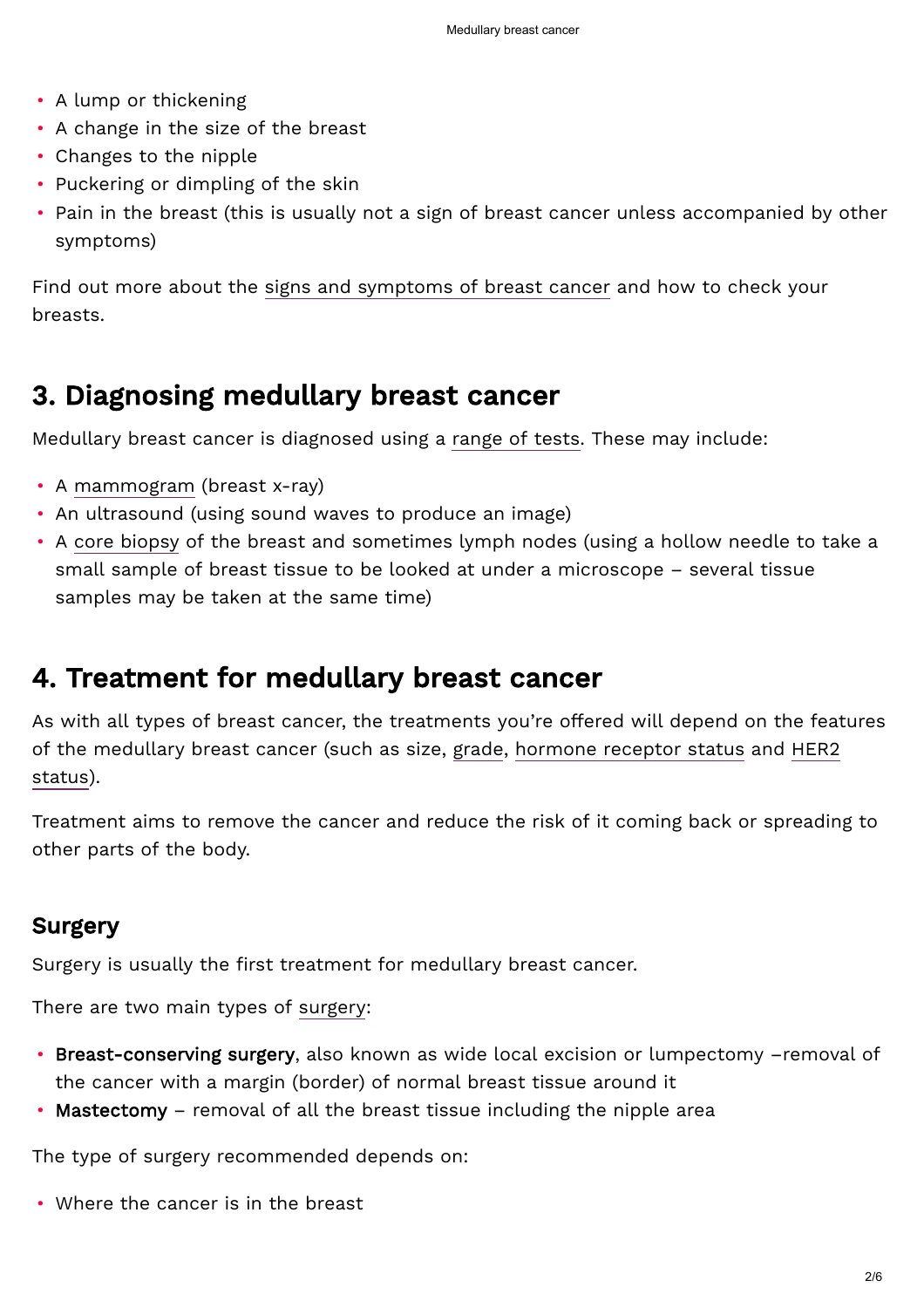- A lump or thickening
- A change in the size of the breast
- Changes to the nipple
- Puckering or dimpling of the skin
- Pain in the breast (this is usually not a sign of breast cancer unless accompanied by other symptoms)

Find out more about the [signs and symptoms of breast cancer](https://breastcancernow.org/information-support/have-i-got-breast-cancer/signs-symptoms-breast-cancer) and how to check your breasts.

# 3. Diagnosing medullary breast cancer

Medullary breast cancer is diagnosed using a [range of tests](https://breastcancernow.org/information-support/facing-breast-cancer/what-expect-breast-clinic-appointment). These may include:

- A [mammogram](https://breastcancernow.org/information-support/facing-breast-cancer/mammogram-other-tests) (breast x-ray)
- An ultrasound (using sound waves to produce an image)
- A [core biopsy](https://breastcancernow.org/information-support/have-i-got-breast-cancer/core-biopsy-fine-needle-aspiration-fna) of the breast and sometimes lymph nodes (using a hollow needle to take a small sample of breast tissue to be looked at under a microscope – several tissue samples may be taken at the same time)

# 4. Treatment for medullary breast cancer

As with all types of breast cancer, the treatments you're offered will depend on the features [of the medullary breast cancer \(such as size,](https://breastcancernow.org/information-support/facing-breast-cancer/diagnosed-breast-cancer/her2) [grade](https://breastcancernow.org/information-support/facing-breast-cancer/diagnosed-breast-cancer/cancer-grade-size)[,](https://breastcancernow.org/information-support/facing-breast-cancer/diagnosed-breast-cancer/her2) [hormone receptor status](https://breastcancernow.org/information-support/facing-breast-cancer/diagnosed-breast-cancer/hormone-receptors-breast-cancer) [and HER2](https://breastcancernow.org/information-support/facing-breast-cancer/diagnosed-breast-cancer/her2) status).

Treatment aims to remove the cancer and reduce the risk of it coming back or spreading to other parts of the body.

## Surgery

Surgery is usually the first treatment for medullary breast cancer.

There are two main types of [surgery](https://breastcancernow.org/information-support/facing-breast-cancer/going-through-treatment-breast-cancer/surgery):

- Breast-conserving surgery, also known as wide local excision or lumpectomy –removal of the cancer with a margin (border) of normal breast tissue around it
- Mastectomy removal of all the breast tissue including the nipple area

The type of surgery recommended depends on:

• Where the cancer is in the breast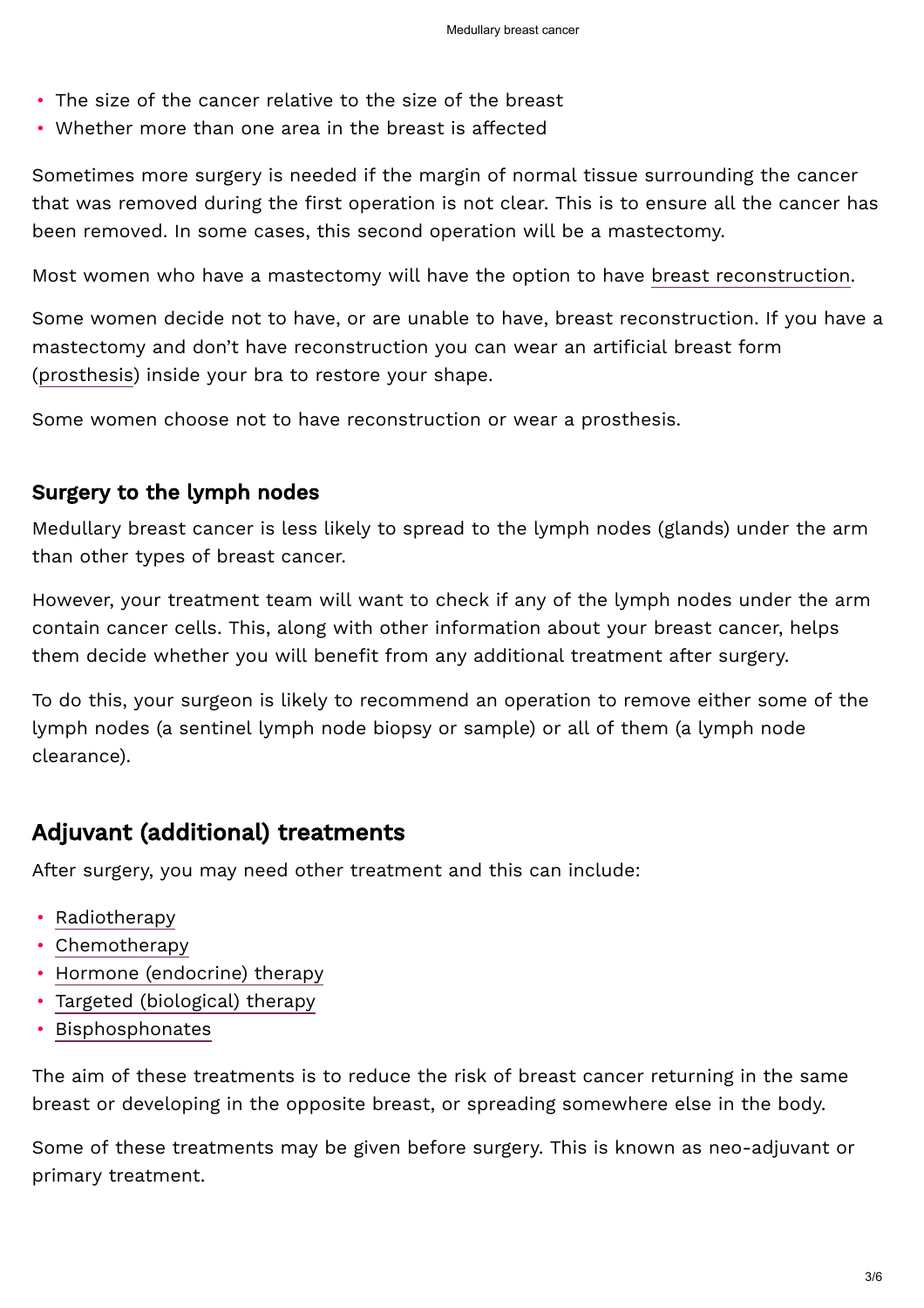- The size of the cancer relative to the size of the breast
- Whether more than one area in the breast is affected

Sometimes more surgery is needed if the margin of normal tissue surrounding the cancer that was removed during the first operation is not clear. This is to ensure all the cancer has been removed. In some cases, this second operation will be a mastectomy.

Most women who have a mastectomy will have the option to have [breast reconstruction.](https://breastcancernow.org/information-support/facing-breast-cancer/living-beyond-breast-cancer/breast-reconstruction)

Some women decide not to have, or are unable to have, breast reconstruction. If you have a mastectomy and don't have reconstruction you can wear an artificial breast form ([prosthesis\)](https://breastcancernow.org/information-support/facing-breast-cancer/living-beyond-breast-cancer/your-body/breast-prosthesis) inside your bra to restore your shape.

Some women choose not to have reconstruction or wear a prosthesis.

#### Surgery to the lymph nodes

Medullary breast cancer is less likely to spread to the lymph nodes (glands) under the arm than other types of breast cancer.

However, your treatment team will want to check if any of the lymph nodes under the arm contain cancer cells. This, along with other information about your breast cancer, helps them decide whether you will benefit from any additional treatment after surgery.

To do this, your surgeon is likely to recommend an operation to remove either some of the lymph nodes (a sentinel lymph node biopsy or sample) or all of them (a lymph node clearance).

## Adjuvant (additional) treatments

After surgery, you may need other treatment and this can include:

- [Radiotherapy](https://breastcancernow.org/information-support/facing-breast-cancer/going-through-breast-cancer-treatment/radiotherapy-primary)
- [Chemotherapy](https://breastcancernow.org/information-support/facing-breast-cancer/going-through-treatment-breast-cancer/chemotherapy)
- [Hormone \(endocrine\) therapy](https://breastcancernow.org/information-support/facing-breast-cancer/going-through-treatment-breast-cancer/hormone-therapy)
- [Targeted \(biological\) therapy](https://breastcancernow.org/information-support/facing-breast-cancer/going-through-treatment-breast-cancer/targeted-therapy)
- [Bisphosphonates](https://breastcancernow.org/information-support/facing-breast-cancer/going-through-breast-cancer-treatment/bisphosphonates)

The aim of these treatments is to reduce the risk of breast cancer returning in the same breast or developing in the opposite breast, or spreading somewhere else in the body.

Some of these treatments may be given before surgery. This is known as neo-adjuvant or primary treatment.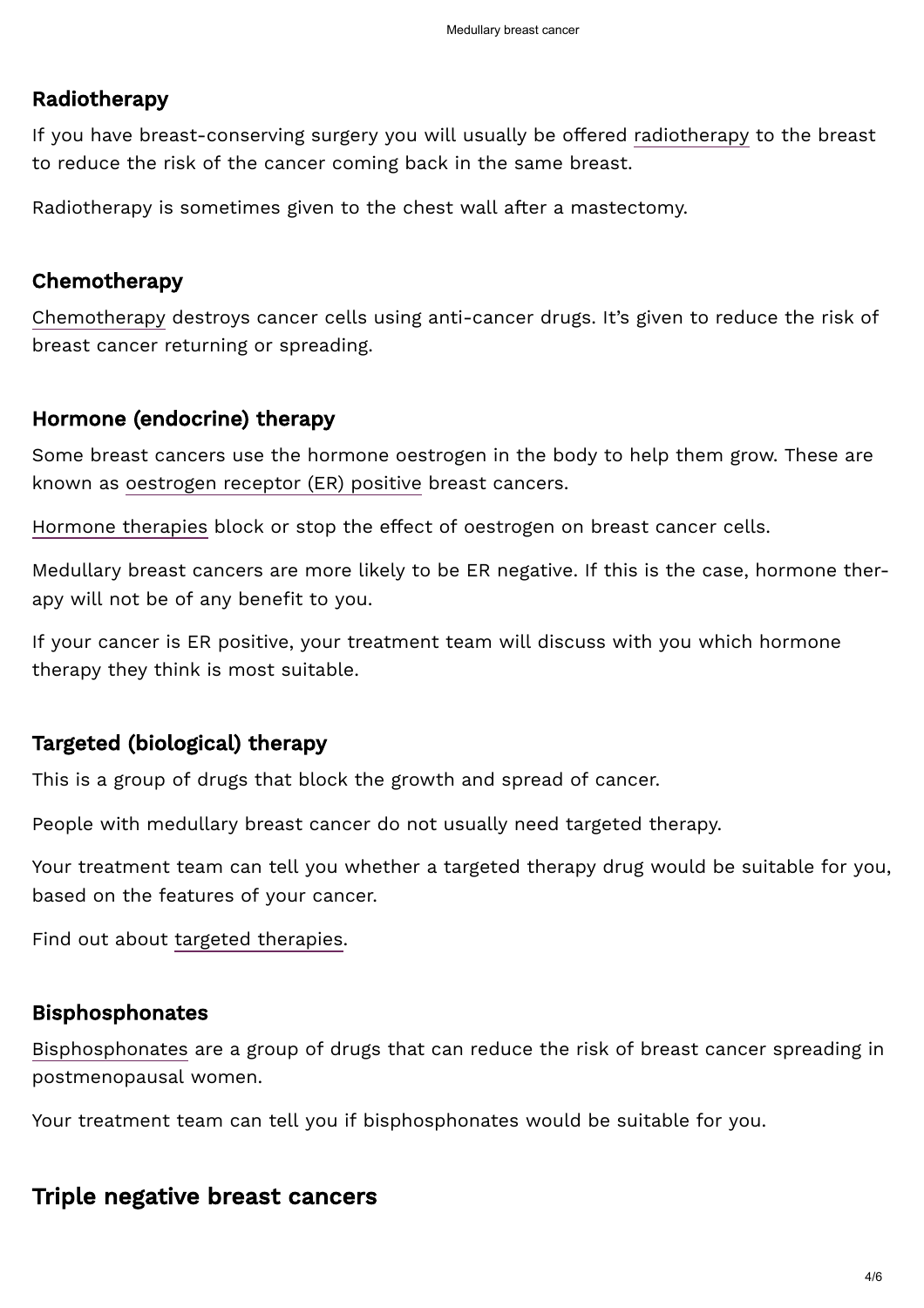#### Radiotherapy

If you have breast-conserving surgery you will usually be offered [radiotherapy](https://breastcancernow.org/information-support/facing-breast-cancer/going-through-breast-cancer-treatment/radiotherapy-primary) to the breast to reduce the risk of the cancer coming back in the same breast.

Radiotherapy is sometimes given to the chest wall after a mastectomy.

#### Chemotherapy

[Chemotherapy](https://breastcancernow.org/information-support/facing-breast-cancer/going-through-treatment-breast-cancer/chemotherapy) destroys cancer cells using anti-cancer drugs. It's given to reduce the risk of breast cancer returning or spreading.

#### Hormone (endocrine) therapy

Some breast cancers use the hormone oestrogen in the body to help them grow. These are known as [oestrogen receptor \(ER\) positive](https://breastcancernow.org/information-support/facing-breast-cancer/diagnosed-breast-cancer/hormone-receptors-breast-cancer) breast cancers.

[Hormone therapies](https://breastcancernow.org/information-support/facing-breast-cancer/going-through-treatment-breast-cancer/hormone-therapy) block or stop the effect of oestrogen on breast cancer cells.

Medullary breast cancers are more likely to be ER negative. If this is the case, hormone therapy will not be of any benefit to you.

If your cancer is ER positive, your treatment team will discuss with you which hormone therapy they think is most suitable.

#### Targeted (biological) therapy

This is a group of drugs that block the growth and spread of cancer.

People with medullary breast cancer do not usually need targeted therapy.

Your treatment team can tell you whether a targeted therapy drug would be suitable for you, based on the features of your cancer.

Find out about [targeted therapies.](https://breastcancernow.org/information-support/facing-breast-cancer/going-through-treatment-breast-cancer/targeted-therapy)

#### Bisphosphonates

[Bisphosphonates](https://breastcancernow.org/information-support/facing-breast-cancer/going-through-breast-cancer-treatment/bisphosphonates) are a group of drugs that can reduce the risk of breast cancer spreading in postmenopausal women.

Your treatment team can tell you if bisphosphonates would be suitable for you.

#### Triple negative breast cancers